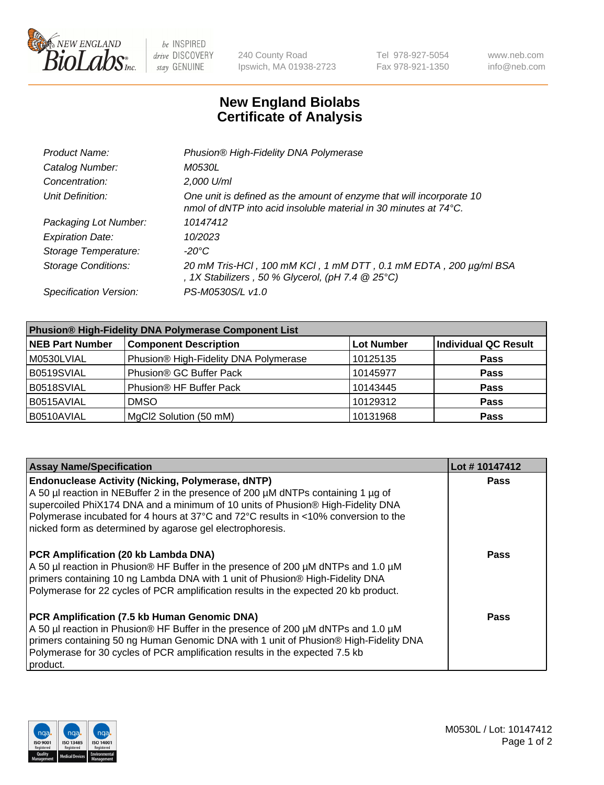

be INSPIRED drive DISCOVERY stay GENUINE

240 County Road Ipswich, MA 01938-2723 Tel 978-927-5054 Fax 978-921-1350 www.neb.com info@neb.com

## **New England Biolabs Certificate of Analysis**

| Product Name:              | Phusion® High-Fidelity DNA Polymerase                                                                                                    |
|----------------------------|------------------------------------------------------------------------------------------------------------------------------------------|
| Catalog Number:            | M0530L                                                                                                                                   |
| Concentration:             | 2,000 U/ml                                                                                                                               |
| Unit Definition:           | One unit is defined as the amount of enzyme that will incorporate 10<br>nmol of dNTP into acid insoluble material in 30 minutes at 74°C. |
| Packaging Lot Number:      | 10147412                                                                                                                                 |
| <b>Expiration Date:</b>    | 10/2023                                                                                                                                  |
| Storage Temperature:       | -20°C                                                                                                                                    |
| <b>Storage Conditions:</b> | 20 mM Tris-HCl, 100 mM KCl, 1 mM DTT, 0.1 mM EDTA, 200 µg/ml BSA<br>, 1X Stabilizers, 50 % Glycerol, (pH 7.4 $@25°C$ )                   |
| Specification Version:     | PS-M0530S/L v1.0                                                                                                                         |

| <b>Phusion® High-Fidelity DNA Polymerase Component List</b> |                                       |                   |                             |  |
|-------------------------------------------------------------|---------------------------------------|-------------------|-----------------------------|--|
| <b>NEB Part Number</b>                                      | <b>Component Description</b>          | <b>Lot Number</b> | <b>Individual QC Result</b> |  |
| M0530LVIAL                                                  | Phusion® High-Fidelity DNA Polymerase | 10125135          | <b>Pass</b>                 |  |
| B0519SVIAL                                                  | Phusion <sup>®</sup> GC Buffer Pack   | 10145977          | <b>Pass</b>                 |  |
| B0518SVIAL                                                  | Phusion® HF Buffer Pack               | 10143445          | <b>Pass</b>                 |  |
| B0515AVIAL                                                  | <b>DMSO</b>                           | 10129312          | <b>Pass</b>                 |  |
| B0510AVIAL                                                  | MgCl2 Solution (50 mM)                | 10131968          | <b>Pass</b>                 |  |

| <b>Assay Name/Specification</b>                                                                                                                                                                                                                                                                                                                                                      | Lot #10147412 |
|--------------------------------------------------------------------------------------------------------------------------------------------------------------------------------------------------------------------------------------------------------------------------------------------------------------------------------------------------------------------------------------|---------------|
| <b>Endonuclease Activity (Nicking, Polymerase, dNTP)</b><br>A 50 µl reaction in NEBuffer 2 in the presence of 200 µM dNTPs containing 1 µg of<br>supercoiled PhiX174 DNA and a minimum of 10 units of Phusion® High-Fidelity DNA<br>Polymerase incubated for 4 hours at 37°C and 72°C results in <10% conversion to the<br>nicked form as determined by agarose gel electrophoresis. | <b>Pass</b>   |
| <b>PCR Amplification (20 kb Lambda DNA)</b><br>A 50 µl reaction in Phusion® HF Buffer in the presence of 200 µM dNTPs and 1.0 µM<br>primers containing 10 ng Lambda DNA with 1 unit of Phusion® High-Fidelity DNA<br>Polymerase for 22 cycles of PCR amplification results in the expected 20 kb product.                                                                            | Pass          |
| PCR Amplification (7.5 kb Human Genomic DNA)<br>A 50 µl reaction in Phusion® HF Buffer in the presence of 200 µM dNTPs and 1.0 µM<br>primers containing 50 ng Human Genomic DNA with 1 unit of Phusion® High-Fidelity DNA<br>Polymerase for 30 cycles of PCR amplification results in the expected 7.5 kb<br>product.                                                                | Pass          |